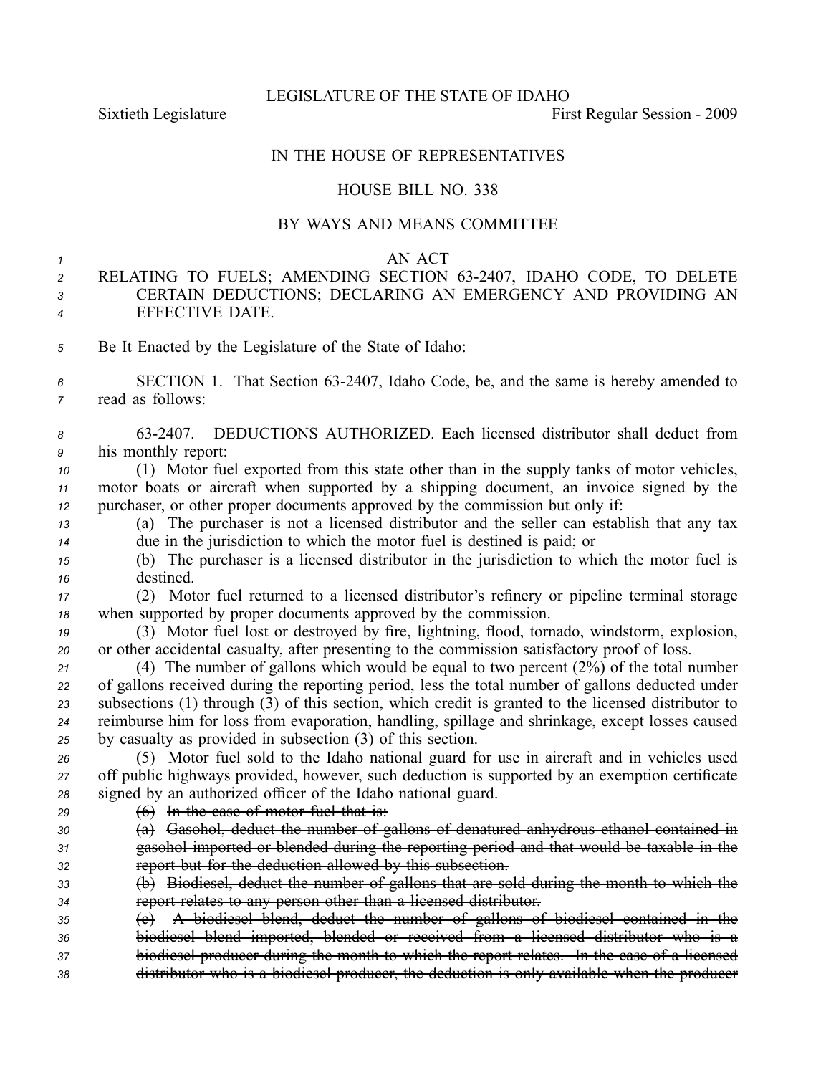LEGISLATURE OF THE STATE OF IDAHO

Sixtieth Legislature **First** Regular Session - 2009

## IN THE HOUSE OF REPRESENTATIVES

## HOUSE BILL NO. 338

## BY WAYS AND MEANS COMMITTEE

## *1* AN ACT

- *<sup>2</sup>* RELATING TO FUELS; AMENDING SECTION 632407, IDAHO CODE, TO DELETE *<sup>3</sup>* CERTAIN DEDUCTIONS; DECLARING AN EMERGENCY AND PROVIDING AN *<sup>4</sup>* EFFECTIVE DATE.
- *<sup>5</sup>* Be It Enacted by the Legislature of the State of Idaho:
- *<sup>6</sup>* SECTION 1. That Section 632407, Idaho Code, be, and the same is hereby amended to *<sup>7</sup>* read as follows:
- *<sup>8</sup>* 632407. DEDUCTIONS AUTHORIZED. Each licensed distributor shall deduct from *<sup>9</sup>* his monthly report:
- *<sup>10</sup>* (1) Motor fuel exported from this state other than in the supply tanks of motor vehicles, *<sup>11</sup>* motor boats or aircraft when supported by <sup>a</sup> shipping document, an invoice signed by the *<sup>12</sup>* purchaser, or other proper documents approved by the commission but only if:
- *<sup>13</sup>* (a) The purchaser is not <sup>a</sup> licensed distributor and the seller can establish that any tax *<sup>14</sup>* due in the jurisdiction to which the motor fuel is destined is paid; or
- *<sup>15</sup>* (b) The purchaser is <sup>a</sup> licensed distributor in the jurisdiction to which the motor fuel is *<sup>16</sup>* destined.
- *<sup>17</sup>* (2) Motor fuel returned to <sup>a</sup> licensed distributor's refinery or pipeline terminal storage *<sup>18</sup>* when supported by proper documents approved by the commission.
- *<sup>19</sup>* (3) Motor fuel lost or destroyed by fire, lightning, flood, tornado, windstorm, explosion, *<sup>20</sup>* or other accidental casualty, after presenting to the commission satisfactory proof of loss.

 (4) The number of gallons which would be equal to two percen<sup>t</sup> (2%) of the total number of gallons received during the reporting period, less the total number of gallons deducted under subsections (1) through (3) of this section, which credit is granted to the licensed distributor to reimburse him for loss from evaporation, handling, spillage and shrinkage, excep<sup>t</sup> losses caused by casualty as provided in subsection (3) of this section.

*<sup>26</sup>* (5) Motor fuel sold to the Idaho national guard for use in aircraft and in vehicles used *<sup>27</sup>* off public highways provided, however, such deduction is supported by an exemption certificate *<sup>28</sup>* signed by an authorized officer of the Idaho national guard.

- *<sup>29</sup>* (6) In the case of motor fuel that is:
- *<sup>30</sup>* (a) Gasohol, deduct the number of gallons of denatured anhydrous ethanol contained in *<sup>31</sup>* gasohol imported or blended during the reporting period and that would be taxable in the *<sup>32</sup>* repor<sup>t</sup> but for the deduction allowed by this subsection.
- *<sup>33</sup>* (b) Biodiesel, deduct the number of gallons that are sold during the month to which the *<sup>34</sup>* repor<sup>t</sup> relates to any person other than <sup>a</sup> licensed distributor.
- *<sup>35</sup>* (c) A biodiesel blend, deduct the number of gallons of biodiesel contained in the *<sup>36</sup>* biodiesel blend imported, blended or received from <sup>a</sup> licensed distributor who is <sup>a</sup> *<sup>37</sup>* biodiesel producer during the month to which the repor<sup>t</sup> relates. In the case of <sup>a</sup> licensed
- *<sup>38</sup>* distributor who is <sup>a</sup> biodiesel producer, the deduction is only available when the producer